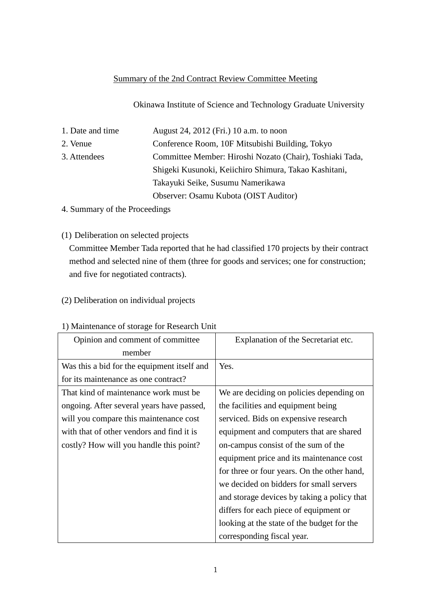### Summary of the 2nd Contract Review Committee Meeting

Okinawa Institute of Science and Technology Graduate University

| 1. Date and time | August 24, 2012 (Fri.) 10 a.m. to noon                   |
|------------------|----------------------------------------------------------|
| 2. Venue         | Conference Room, 10F Mitsubishi Building, Tokyo          |
| 3. Attendees     | Committee Member: Hiroshi Nozato (Chair), Toshiaki Tada, |
|                  | Shigeki Kusunoki, Keiichiro Shimura, Takao Kashitani,    |
|                  | Takayuki Seike, Susumu Namerikawa                        |
|                  | Observer: Osamu Kubota (OIST Auditor)                    |

4. Summary of the Proceedings

(1) Deliberation on selected projects

Committee Member Tada reported that he had classified 170 projects by their contract method and selected nine of them (three for goods and services; one for construction; and five for negotiated contracts).

## (2) Deliberation on individual projects

#### Opinion and comment of committee member Explanation of the Secretariat etc. Was this a bid for the equipment itself and for its maintenance as one contract? Yes. That kind of maintenance work must be ongoing. After several years have passed, will you compare this maintenance cost with that of other vendors and find it is costly? How will you handle this point? We are deciding on policies depending on the facilities and equipment being serviced. Bids on expensive research equipment and computers that are shared on-campus consist of the sum of the equipment price and its maintenance cost for three or four years. On the other hand, we decided on bidders for small servers and storage devices by taking a policy that differs for each piece of equipment or looking at the state of the budget for the corresponding fiscal year.

#### 1) Maintenance of storage for Research Unit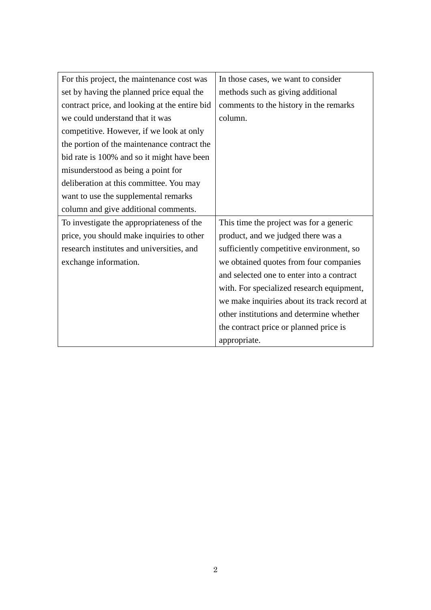| For this project, the maintenance cost was    | In those cases, we want to consider         |
|-----------------------------------------------|---------------------------------------------|
| set by having the planned price equal the     | methods such as giving additional           |
| contract price, and looking at the entire bid | comments to the history in the remarks      |
| we could understand that it was               | column.                                     |
| competitive. However, if we look at only      |                                             |
| the portion of the maintenance contract the   |                                             |
| bid rate is 100% and so it might have been    |                                             |
| misunderstood as being a point for            |                                             |
| deliberation at this committee. You may       |                                             |
| want to use the supplemental remarks          |                                             |
| column and give additional comments.          |                                             |
| To investigate the appropriateness of the     | This time the project was for a generic     |
| price, you should make inquiries to other     | product, and we judged there was a          |
| research institutes and universities, and     | sufficiently competitive environment, so    |
| exchange information.                         | we obtained quotes from four companies      |
|                                               | and selected one to enter into a contract   |
|                                               | with. For specialized research equipment,   |
|                                               | we make inquiries about its track record at |
|                                               | other institutions and determine whether    |
|                                               | the contract price or planned price is      |
|                                               | appropriate.                                |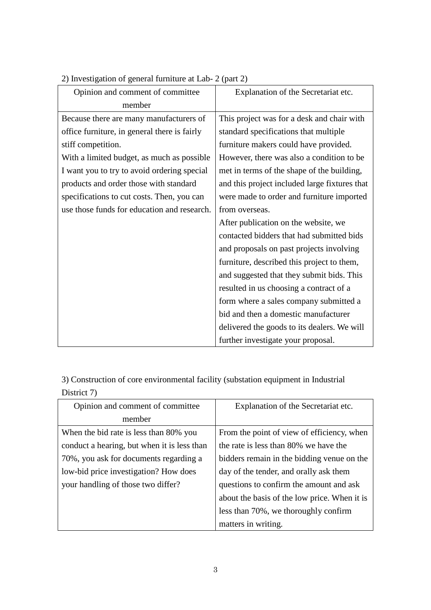| Opinion and comment of committee             | Explanation of the Secretariat etc.           |
|----------------------------------------------|-----------------------------------------------|
| member                                       |                                               |
| Because there are many manufacturers of      | This project was for a desk and chair with    |
| office furniture, in general there is fairly | standard specifications that multiple         |
| stiff competition.                           | furniture makers could have provided.         |
| With a limited budget, as much as possible   | However, there was also a condition to be     |
| I want you to try to avoid ordering special  | met in terms of the shape of the building,    |
| products and order those with standard       | and this project included large fixtures that |
| specifications to cut costs. Then, you can   | were made to order and furniture imported     |
| use those funds for education and research.  | from overseas.                                |
|                                              | After publication on the website, we          |
|                                              | contacted bidders that had submitted bids     |
|                                              | and proposals on past projects involving      |
|                                              | furniture, described this project to them,    |
|                                              | and suggested that they submit bids. This     |
|                                              | resulted in us choosing a contract of a       |
|                                              | form where a sales company submitted a        |
|                                              | bid and then a domestic manufacturer          |
|                                              | delivered the goods to its dealers. We will   |
|                                              | further investigate your proposal.            |

2) Investigation of general furniture at Lab- 2 (part 2)

3) Construction of core environmental facility (substation equipment in Industrial District 7)

| Opinion and comment of committee            | Explanation of the Secretariat etc.          |
|---------------------------------------------|----------------------------------------------|
| member                                      |                                              |
| When the bid rate is less than 80% you      | From the point of view of efficiency, when   |
| conduct a hearing, but when it is less than | the rate is less than 80% we have the        |
| 70%, you ask for documents regarding a      | bidders remain in the bidding venue on the   |
| low-bid price investigation? How does       | day of the tender, and orally ask them       |
| your handling of those two differ?          | questions to confirm the amount and ask      |
|                                             | about the basis of the low price. When it is |
|                                             | less than 70%, we thoroughly confirm         |
|                                             | matters in writing.                          |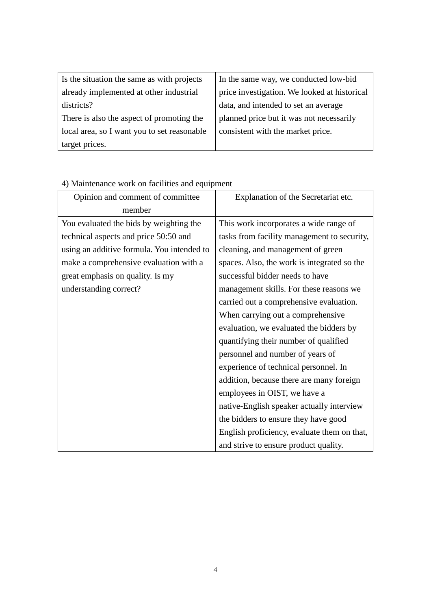| Is the situation the same as with projects  | In the same way, we conducted low-bid        |
|---------------------------------------------|----------------------------------------------|
| already implemented at other industrial     | price investigation. We looked at historical |
| districts?                                  | data, and intended to set an average         |
| There is also the aspect of promoting the   | planned price but it was not necessarily     |
| local area, so I want you to set reasonable | consistent with the market price.            |
| target prices.                              |                                              |

| Opinion and comment of committee           | Explanation of the Secretariat etc.         |
|--------------------------------------------|---------------------------------------------|
| member                                     |                                             |
| You evaluated the bids by weighting the    | This work incorporates a wide range of      |
| technical aspects and price 50:50 and      | tasks from facility management to security, |
| using an additive formula. You intended to | cleaning, and management of green           |
| make a comprehensive evaluation with a     | spaces. Also, the work is integrated so the |
| great emphasis on quality. Is my           | successful bidder needs to have             |
| understanding correct?                     | management skills. For these reasons we     |
|                                            | carried out a comprehensive evaluation.     |
|                                            | When carrying out a comprehensive           |
|                                            | evaluation, we evaluated the bidders by     |
|                                            | quantifying their number of qualified       |
|                                            | personnel and number of years of            |
|                                            | experience of technical personnel. In       |
|                                            | addition, because there are many foreign    |
|                                            | employees in OIST, we have a                |
|                                            | native-English speaker actually interview   |
|                                            | the bidders to ensure they have good        |
|                                            | English proficiency, evaluate them on that, |
|                                            | and strive to ensure product quality.       |

# 4) Maintenance work on facilities and equipment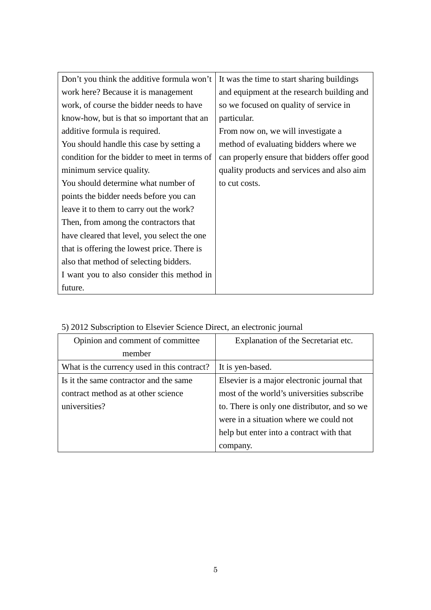| Don't you think the additive formula won't   | It was the time to start sharing buildings  |
|----------------------------------------------|---------------------------------------------|
| work here? Because it is management          | and equipment at the research building and  |
| work, of course the bidder needs to have     | so we focused on quality of service in      |
| know-how, but is that so important that an   | particular.                                 |
| additive formula is required.                | From now on, we will investigate a          |
| You should handle this case by setting a     | method of evaluating bidders where we       |
| condition for the bidder to meet in terms of | can properly ensure that bidders offer good |
| minimum service quality.                     | quality products and services and also aim  |
| You should determine what number of          | to cut costs.                               |
| points the bidder needs before you can       |                                             |
| leave it to them to carry out the work?      |                                             |
| Then, from among the contractors that        |                                             |
| have cleared that level, you select the one  |                                             |
| that is offering the lowest price. There is  |                                             |
| also that method of selecting bidders.       |                                             |
| I want you to also consider this method in   |                                             |
| future.                                      |                                             |

| Opinion and comment of committee            | Explanation of the Secretariat etc.          |
|---------------------------------------------|----------------------------------------------|
| member                                      |                                              |
| What is the currency used in this contract? | It is yen-based.                             |
| Is it the same contractor and the same      | Elsevier is a major electronic journal that  |
| contract method as at other science         | most of the world's universities subscribe   |
| universities?                               | to. There is only one distributor, and so we |
|                                             | were in a situation where we could not       |
|                                             | help but enter into a contract with that     |
|                                             | company.                                     |

5) 2012 Subscription to Elsevier Science Direct, an electronic journal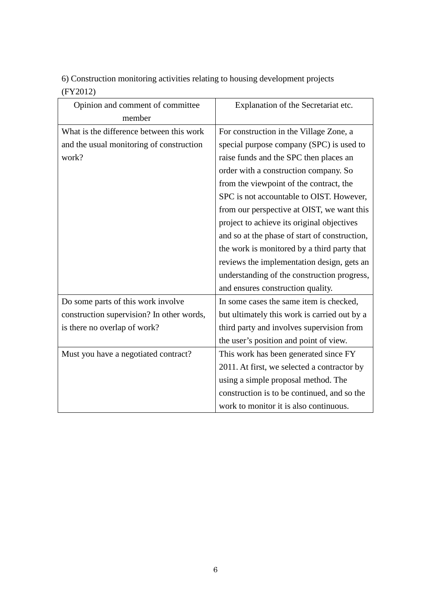6) Construction monitoring activities relating to housing development projects (FY2012)

| Opinion and comment of committee          | Explanation of the Secretariat etc.           |
|-------------------------------------------|-----------------------------------------------|
| member                                    |                                               |
| What is the difference between this work  | For construction in the Village Zone, a       |
| and the usual monitoring of construction  | special purpose company (SPC) is used to      |
| work?                                     | raise funds and the SPC then places an        |
|                                           | order with a construction company. So         |
|                                           | from the viewpoint of the contract, the       |
|                                           | SPC is not accountable to OIST. However,      |
|                                           | from our perspective at OIST, we want this    |
|                                           | project to achieve its original objectives    |
|                                           | and so at the phase of start of construction, |
|                                           | the work is monitored by a third party that   |
|                                           | reviews the implementation design, gets an    |
|                                           | understanding of the construction progress,   |
|                                           | and ensures construction quality.             |
| Do some parts of this work involve        | In some cases the same item is checked,       |
| construction supervision? In other words, | but ultimately this work is carried out by a  |
| is there no overlap of work?              | third party and involves supervision from     |
|                                           | the user's position and point of view.        |
| Must you have a negotiated contract?      | This work has been generated since FY         |
|                                           | 2011. At first, we selected a contractor by   |
|                                           | using a simple proposal method. The           |
|                                           | construction is to be continued, and so the   |
|                                           | work to monitor it is also continuous.        |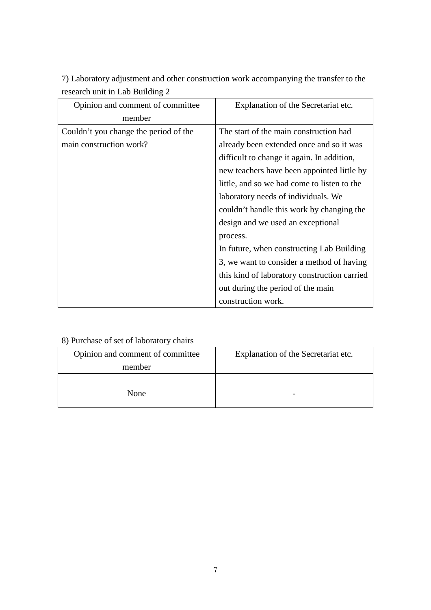7) Laboratory adjustment and other construction work accompanying the transfer to the research unit in Lab Building 2

| Opinion and comment of committee      | Explanation of the Secretariat etc.          |
|---------------------------------------|----------------------------------------------|
| member                                |                                              |
| Couldn't you change the period of the | The start of the main construction had       |
| main construction work?               | already been extended once and so it was     |
|                                       | difficult to change it again. In addition,   |
|                                       | new teachers have been appointed little by   |
|                                       | little, and so we had come to listen to the  |
|                                       | laboratory needs of individuals. We          |
|                                       | couldn't handle this work by changing the    |
|                                       | design and we used an exceptional            |
|                                       | process.                                     |
|                                       | In future, when constructing Lab Building    |
|                                       | 3, we want to consider a method of having    |
|                                       | this kind of laboratory construction carried |
|                                       | out during the period of the main            |
|                                       | construction work.                           |

# 8) Purchase of set of laboratory chairs

| Opinion and comment of committee | Explanation of the Secretariat etc. |
|----------------------------------|-------------------------------------|
| member                           |                                     |
|                                  |                                     |
| None                             |                                     |
|                                  |                                     |